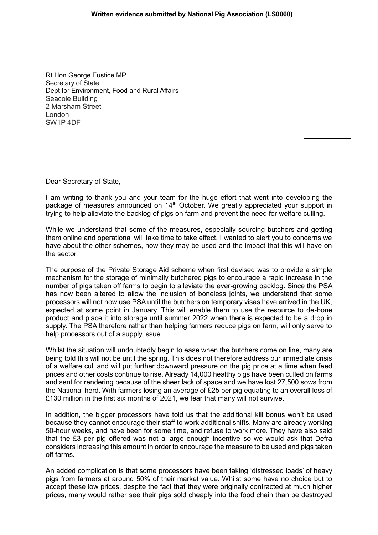## **Written evidence submitted by National Pig Association (LS0060)**

Rt Hon George Eustice MP Secretary of State Dept for Environment, Food and Rural Affairs Seacole Building 2 Marsham Street London SW1P 4DF

Dear Secretary of State,

I am writing to thank you and your team for the huge effort that went into developing the package of measures announced on 14<sup>th</sup> October. We greatly appreciated your support in trying to help alleviate the backlog of pigs on farm and prevent the need for welfare culling.

While we understand that some of the measures, especially sourcing butchers and getting them online and operational will take time to take effect, I wanted to alert you to concerns we have about the other schemes, how they may be used and the impact that this will have on the sector.

The purpose of the Private Storage Aid scheme when first devised was to provide a simple mechanism for the storage of minimally butchered pigs to encourage a rapid increase in the number of pigs taken off farms to begin to alleviate the ever-growing backlog. Since the PSA has now been altered to allow the inclusion of boneless joints, we understand that some processors will not now use PSA until the butchers on temporary visas have arrived in the UK, expected at some point in January. This will enable them to use the resource to de-bone product and place it into storage until summer 2022 when there is expected to be a drop in supply. The PSA therefore rather than helping farmers reduce pigs on farm, will only serve to help processors out of a supply issue.

Whilst the situation will undoubtedly begin to ease when the butchers come on line, many are being told this will not be until the spring. This does not therefore address our immediate crisis of a welfare cull and will put further downward pressure on the pig price at a time when feed prices and other costs continue to rise. Already 14,000 healthy pigs have been culled on farms and sent for rendering because of the sheer lack of space and we have lost 27,500 sows from the National herd. With farmers losing an average of £25 per pig equating to an overall loss of £130 million in the first six months of 2021, we fear that many will not survive.

In addition, the bigger processors have told us that the additional kill bonus won't be used because they cannot encourage their staff to work additional shifts. Many are already working 50-hour weeks, and have been for some time, and refuse to work more. They have also said that the £3 per pig offered was not a large enough incentive so we would ask that Defra considers increasing this amount in order to encourage the measure to be used and pigs taken off farms.

An added complication is that some processors have been taking 'distressed loads' of heavy pigs from farmers at around 50% of their market value. Whilst some have no choice but to accept these low prices, despite the fact that they were originally contracted at much higher prices, many would rather see their pigs sold cheaply into the food chain than be destroyed